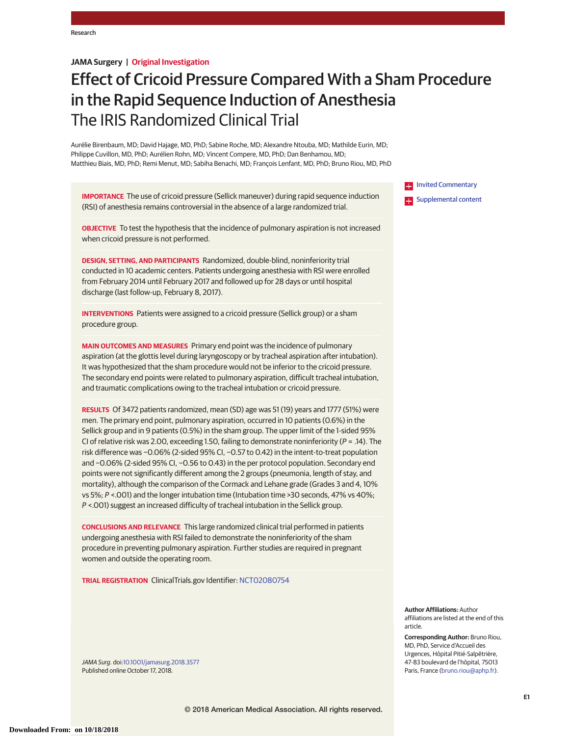# **JAMA Surgery | Original Investigation**

# Effect of Cricoid Pressure Compared With a Sham Procedure in the Rapid Sequence Induction of Anesthesia The IRIS Randomized Clinical Trial

Aurélie Birenbaum, MD; David Hajage, MD, PhD; Sabine Roche, MD; Alexandre Ntouba, MD; Mathilde Eurin, MD; Philippe Cuvillon, MD, PhD; Aurélien Rohn, MD; Vincent Compere, MD, PhD; Dan Benhamou, MD; Matthieu Biais, MD, PhD; Remi Menut, MD; Sabiha Benachi, MD; François Lenfant, MD, PhD; Bruno Riou, MD, PhD

**IMPORTANCE** The use of cricoid pressure (Sellick maneuver) during rapid sequence induction (RSI) of anesthesia remains controversial in the absence of a large randomized trial.

**OBJECTIVE** To test the hypothesis that the incidence of pulmonary aspiration is not increased when cricoid pressure is not performed.

**DESIGN, SETTING, AND PARTICIPANTS** Randomized, double-blind, noninferiority trial conducted in 10 academic centers. Patients undergoing anesthesia with RSI were enrolled from February 2014 until February 2017 and followed up for 28 days or until hospital discharge (last follow-up, February 8, 2017).

**INTERVENTIONS** Patients were assigned to a cricoid pressure (Sellick group) or a sham procedure group.

**MAIN OUTCOMES AND MEASURES** Primary end point was the incidence of pulmonary aspiration (at the glottis level during laryngoscopy or by tracheal aspiration after intubation). It was hypothesized that the sham procedure would not be inferior to the cricoid pressure. The secondary end points were related to pulmonary aspiration, difficult tracheal intubation, and traumatic complications owing to the tracheal intubation or cricoid pressure.

**RESULTS** Of 3472 patients randomized, mean (SD) age was 51 (19) years and 1777 (51%) were men. The primary end point, pulmonary aspiration, occurred in 10 patients (0.6%) in the Sellick group and in 9 patients (0.5%) in the sham group. The upper limit of the 1-sided 95% CI of relative risk was 2.00, exceeding 1.50, failing to demonstrate noninferiority ( $P = .14$ ). The risk difference was −0.06% (2-sided 95% CI, −0.57 to 0.42) in the intent-to-treat population and −0.06% (2-sided 95% CI, −0.56 to 0.43) in the per protocol population. Secondary end points were not significantly different among the 2 groups (pneumonia, length of stay, and mortality), although the comparison of the Cormack and Lehane grade (Grades 3 and 4, 10% vs 5%; P <.001) and the longer intubation time (Intubation time >30 seconds, 47% vs 40%; P <.001) suggest an increased difficulty of tracheal intubation in the Sellick group.

**CONCLUSIONS AND RELEVANCE** This large randomized clinical trial performed in patients undergoing anesthesia with RSI failed to demonstrate the noninferiority of the sham procedure in preventing pulmonary aspiration. Further studies are required in pregnant women and outside the operating room.

**TRIAL REGISTRATION** ClinicalTrials.gov Identifier: [NCT02080754](https://clinicaltrials.gov/ct2/show/NCT02080754)

JAMA Surg. doi[:10.1001/jamasurg.2018.3577](https://jama.jamanetwork.com/article.aspx?doi=10.1001/jamasurg.2018.3577&utm_campaign=articlePDF%26utm_medium=articlePDFlink%26utm_source=articlePDF%26utm_content=jamasurg.2018.3577) Published online October 17, 2018.

**[Invited Commentary](https://jama.jamanetwork.com/article.aspx?doi=10.1001/jamasurg.2018.3590&utm_campaign=articlePDF%26utm_medium=articlePDFlink%26utm_source=articlePDF%26utm_content=jamasurg.2018.3577) Examplemental content** 

**Author Affiliations:** Author affiliations are listed at the end of this article.

**Corresponding Author:** Bruno Riou, MD, PhD, Service d'Accueil des Urgences, Hôpital Pitié-Salpêtrière, 47-83 boulevard de l'hôpital, 75013 Paris, France [\(bruno.riou@aphp.fr\)](mailto:bruno.riou@aphp.fr).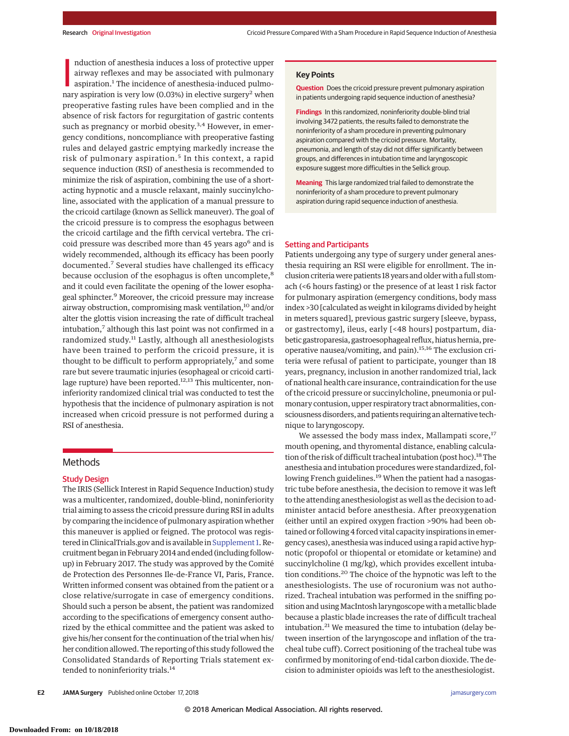nduction of anesthesia induces a loss of protective upper<br>airway reflexes and may be associated with pulmonary<br>aspiration.<sup>1</sup> The incidence of anesthesia-induced pulmo-<br>nary aspiration is very low (0.03%) in elective surge nduction of anesthesia induces a loss of protective upper airway reflexes and may be associated with pulmonary aspiration.<sup>1</sup> The incidence of anesthesia-induced pulmopreoperative fasting rules have been complied and in the absence of risk factors for regurgitation of gastric contents such as pregnancy or morbid obesity. $3,4$  However, in emergency conditions, noncompliance with preoperative fasting rules and delayed gastric emptying markedly increase the risk of pulmonary aspiration.<sup>5</sup> In this context, a rapid sequence induction (RSI) of anesthesia is recommended to minimize the risk of aspiration, combining the use of a shortacting hypnotic and a muscle relaxant, mainly succinylcholine, associated with the application of a manual pressure to the cricoid cartilage (known as Sellick maneuver). The goal of the cricoid pressure is to compress the esophagus between the cricoid cartilage and the fifth cervical vertebra. The cricoid pressure was described more than 45 years ago<sup>6</sup> and is widely recommended, although its efficacy has been poorly documented.<sup>7</sup> Several studies have challenged its efficacy because occlusion of the esophagus is often uncomplete,<sup>8</sup> and it could even facilitate the opening of the lower esophageal sphincter.<sup>9</sup> Moreover, the cricoid pressure may increase airway obstruction, compromising mask ventilation,<sup>10</sup> and/or alter the glottis vision increasing the rate of difficult tracheal intubation,<sup>7</sup> although this last point was not confirmed in a randomized study.<sup>11</sup> Lastly, although all anesthesiologists have been trained to perform the cricoid pressure, it is thought to be difficult to perform appropriately, $<sup>7</sup>$  and some</sup> rare but severe traumatic injuries (esophageal or cricoid cartilage rupture) have been reported.<sup>12,13</sup> This multicenter, noninferiority randomized clinical trial was conducted to test the hypothesis that the incidence of pulmonary aspiration is not increased when cricoid pressure is not performed during a RSI of anesthesia.

## **Methods**

## Study Design

The IRIS (Sellick Interest in Rapid Sequence Induction) study was a multicenter, randomized, double-blind, noninferiority trial aiming to assess the cricoid pressure during RSI in adults by comparing the incidence of pulmonary aspiration whether this maneuver is applied or feigned. The protocol was regis-tered in ClinicalTrials.gov and is available in [Supplement 1.](https://jama.jamanetwork.com/article.aspx?doi=10.1001/jamasurg.2018.3577&utm_campaign=articlePDF%26utm_medium=articlePDFlink%26utm_source=articlePDF%26utm_content=jamasurg.2018.3577) Recruitment began in February 2014 and ended (including followup) in February 2017. The study was approved by the Comité de Protection des Personnes Ile-de-France VI, Paris, France. Written informed consent was obtained from the patient or a close relative/surrogate in case of emergency conditions. Should such a person be absent, the patient was randomized according to the specifications of emergency consent authorized by the ethical committee and the patient was asked to give his/her consent for the continuation of the trial when his/ her condition allowed. The reporting of this study followed the Consolidated Standards of Reporting Trials statement extended to noninferiority trials.<sup>14</sup>

## **Key Points**

**Question** Does the cricoid pressure prevent pulmonary aspiration in patients undergoing rapid sequence induction of anesthesia?

**Findings** In this randomized, noninferiority double-blind trial involving 3472 patients, the results failed to demonstrate the noninferiority of a sham procedure in preventing pulmonary aspiration compared with the cricoid pressure. Mortality, pneumonia, and length of stay did not differ significantly between groups, and differences in intubation time and laryngoscopic exposure suggest more difficulties in the Sellick group.

**Meaning** This large randomized trial failed to demonstrate the noninferiority of a sham procedure to prevent pulmonary aspiration during rapid sequence induction of anesthesia.

#### Setting and Participants

Patients undergoing any type of surgery under general anesthesia requiring an RSI were eligible for enrollment. The inclusion criteria were patients 18 years and older with a full stomach (<6 hours fasting) or the presence of at least 1 risk factor for pulmonary aspiration (emergency conditions, body mass index >30 [calculated as weight in kilograms divided by height in meters squared], previous gastric surgery [sleeve, bypass, or gastrectomy], ileus, early [<48 hours] postpartum, diabetic gastroparesia, gastroesophageal reflux, hiatus hernia, preoperative nausea/vomiting, and pain).15,16 The exclusion criteria were refusal of patient to participate, younger than 18 years, pregnancy, inclusion in another randomized trial, lack of national health care insurance, contraindication for the use of the cricoid pressure or succinylcholine, pneumonia or pulmonary contusion, upper respiratory tract abnormalities, consciousness disorders, and patients requiring an alternative technique to laryngoscopy.

We assessed the body mass index, Mallampati score, $17$ mouth opening, and thyromental distance, enabling calculation of the risk of difficult tracheal intubation (post hoc).<sup>18</sup> The anesthesia and intubation procedures were standardized, following French guidelines.<sup>19</sup> When the patient had a nasogastric tube before anesthesia, the decision to remove it was left to the attending anesthesiologist as well as the decision to administer antacid before anesthesia. After preoxygenation (either until an expired oxygen fraction >90% had been obtained or following 4 forced vital capacity inspirations in emergency cases), anesthesia was induced using a rapid active hypnotic (propofol or thiopental or etomidate or ketamine) and succinylcholine (1 mg/kg), which provides excellent intubation conditions.<sup>20</sup> The choice of the hypnotic was left to the anesthesiologists. The use of rocuronium was not authorized. Tracheal intubation was performed in the sniffing position and using MacIntosh laryngoscope with a metallic blade because a plastic blade increases the rate of difficult tracheal intubation.<sup>21</sup> We measured the time to intubation (delay between insertion of the laryngoscope and inflation of the tracheal tube cuff). Correct positioning of the tracheal tube was confirmed by monitoring of end-tidal carbon dioxide. The decision to administer opioids was left to the anesthesiologist.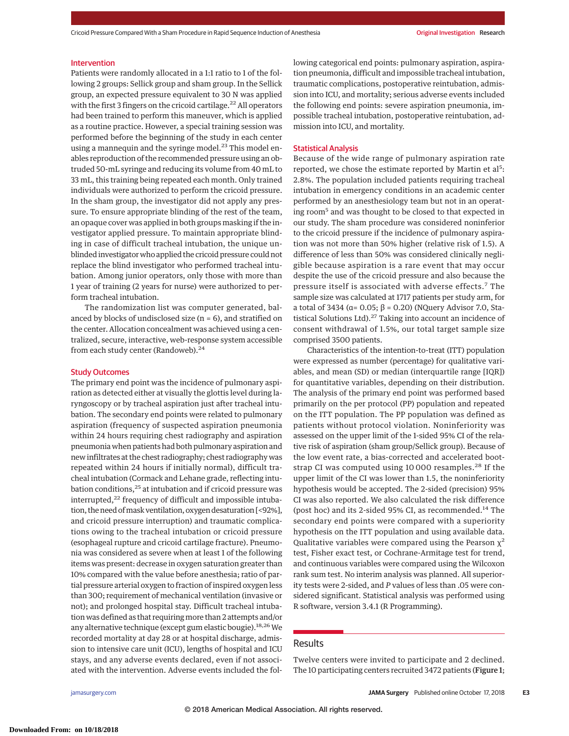Cricoid Pressure Compared With a Sham Procedure in Rapid Sequence Induction of Anesthesia **Original Investigation Research** 

## Intervention

Patients were randomly allocated in a 1:1 ratio to 1 of the following 2 groups: Sellick group and sham group. In the Sellick group, an expected pressure equivalent to 30 N was applied with the first 3 fingers on the cricoid cartilage.<sup>22</sup> All operators had been trained to perform this maneuver, which is applied as a routine practice. However, a special training session was performed before the beginning of the study in each center using a mannequin and the syringe model.<sup>23</sup> This model enables reproduction of the recommended pressure using an obtruded 50-mL syringe and reducing its volume from 40 mL to 33 mL, this training being repeated each month. Only trained individuals were authorized to perform the cricoid pressure. In the sham group, the investigator did not apply any pressure. To ensure appropriate blinding of the rest of the team, an opaque cover was applied in both groups masking if the investigator applied pressure. To maintain appropriate blinding in case of difficult tracheal intubation, the unique unblinded investigator who applied the cricoid pressure could not replace the blind investigator who performed tracheal intubation. Among junior operators, only those with more than 1 year of training (2 years for nurse) were authorized to perform tracheal intubation.

The randomization list was computer generated, balanced by blocks of undisclosed size ( $n = 6$ ), and stratified on the center. Allocation concealment was achieved using a centralized, secure, interactive, web-response system accessible from each study center (Randoweb).<sup>24</sup>

## Study Outcomes

The primary end point was the incidence of pulmonary aspiration as detected either at visually the glottis level during laryngoscopy or by tracheal aspiration just after tracheal intubation. The secondary end points were related to pulmonary aspiration (frequency of suspected aspiration pneumonia within 24 hours requiring chest radiography and aspiration pneumonia when patients had both pulmonary aspiration and new infiltrates at the chest radiography; chest radiography was repeated within 24 hours if initially normal), difficult tracheal intubation (Cormack and Lehane grade, reflecting intubation conditions,<sup>25</sup> at intubation and if cricoid pressure was interrupted, $22$  frequency of difficult and impossible intubation, the need of mask ventilation, oxygen desaturation [<92%], and cricoid pressure interruption) and traumatic complications owing to the tracheal intubation or cricoid pressure (esophageal rupture and cricoid cartilage fracture). Pneumonia was considered as severe when at least 1 of the following items was present: decrease in oxygen saturation greater than 10% compared with the value before anesthesia; ratio of partial pressure arterial oxygen to fraction of inspired oxygen less than 300; requirement of mechanical ventilation (invasive or not); and prolonged hospital stay. Difficult tracheal intubation was defined as that requiringmore than 2 attempts and/or any alternative technique (except gum elastic bougie).<sup>18,26</sup> We recorded mortality at day 28 or at hospital discharge, admission to intensive care unit (ICU), lengths of hospital and ICU stays, and any adverse events declared, even if not associated with the intervention. Adverse events included the following categorical end points: pulmonary aspiration, aspiration pneumonia, difficult and impossible tracheal intubation, traumatic complications, postoperative reintubation, admission into ICU, and mortality; serious adverse events included the following end points: severe aspiration pneumonia, impossible tracheal intubation, postoperative reintubation, admission into ICU, and mortality.

## Statistical Analysis

Because of the wide range of pulmonary aspiration rate reported, we chose the estimate reported by Martin et al<sup>5</sup>: 2.8%. The population included patients requiring tracheal intubation in emergency conditions in an academic center performed by an anesthesiology team but not in an operating room<sup>5</sup> and was thought to be closed to that expected in our study. The sham procedure was considered noninferior to the cricoid pressure if the incidence of pulmonary aspiration was not more than 50% higher (relative risk of 1.5). A difference of less than 50% was considered clinically negligible because aspiration is a rare event that may occur despite the use of the cricoid pressure and also because the pressure itself is associated with adverse effects.<sup>7</sup> The sample size was calculated at 1717 patients per study arm, for a total of 3434 ( $\alpha$ = 0.05;  $\beta$  = 0.20) (NQuery Advisor 7.0, Statistical Solutions Ltd). $27$  Taking into account an incidence of consent withdrawal of 1.5%, our total target sample size comprised 3500 patients.

Characteristics of the intention-to-treat (ITT) population were expressed as number (percentage) for qualitative variables, and mean (SD) or median (interquartile range [IQR]) for quantitative variables, depending on their distribution. The analysis of the primary end point was performed based primarily on the per protocol (PP) population and repeated on the ITT population. The PP population was defined as patients without protocol violation. Noninferiority was assessed on the upper limit of the 1-sided 95% CI of the relative risk of aspiration (sham group/Sellick group). Because of the low event rate, a bias-corrected and accelerated bootstrap CI was computed using 10 000 resamples.<sup>28</sup> If the upper limit of the CI was lower than 1.5, the noninferiority hypothesis would be accepted. The 2-sided (precision) 95% CI was also reported. We also calculated the risk difference (post hoc) and its 2-sided 95% CI, as recommended.<sup>14</sup> The secondary end points were compared with a superiority hypothesis on the ITT population and using available data. Qualitative variables were compared using the Pearson  $\chi^2$ test, Fisher exact test, or Cochrane-Armitage test for trend, and continuous variables were compared using the Wilcoxon rank sum test. No interim analysis was planned. All superiority tests were 2-sided, and *P* values of less than .05 were considered significant. Statistical analysis was performed using R software, version 3.4.1 (R Programming).

# Results

Twelve centers were invited to participate and 2 declined. The 10 participating centers recruited 3472 patients (Figure 1;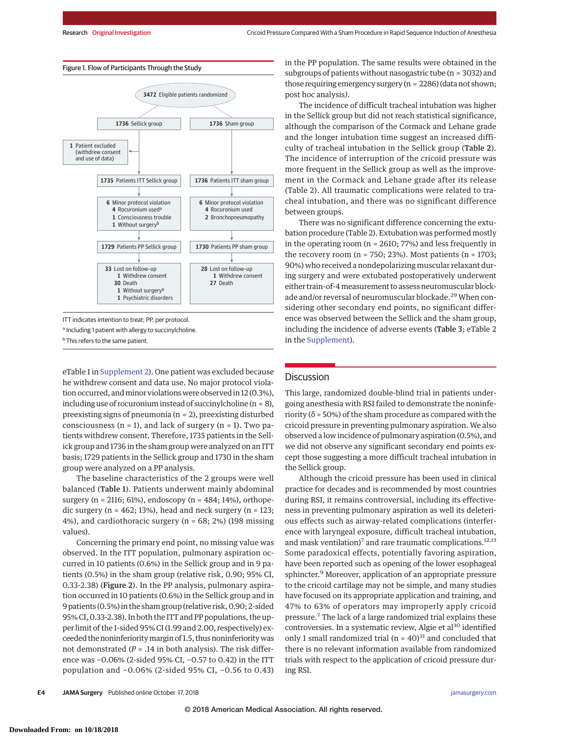

ITT indicates intention to treat; PP, per protocol.

**b** This refers to the same patient.

eTable 1 in [Supplement 2\)](https://jama.jamanetwork.com/article.aspx?doi=10.1001/jamasurg.2018.3577&utm_campaign=articlePDF%26utm_medium=articlePDFlink%26utm_source=articlePDF%26utm_content=jamasurg.2018.3577). One patient was excluded because he withdrew consent and data use. No major protocol violation occurred, and minor violations were observed in 12 (0.3%), including use of rocuronium instead of succinylcholine (n = 8), preexisting signs of pneumonia (n = 2), preexisting disturbed consciousness ( $n = 1$ ), and lack of surgery ( $n = 1$ ). Two patients withdrew consent. Therefore, 1735 patients in the Sellick group and 1736 in the sham group were analyzed on an ITT basis; 1729 patients in the Sellick group and 1730 in the sham group were analyzed on a PP analysis.

The baseline characteristics of the 2 groups were well balanced (Table 1). Patients underwent mainly abdominal surgery (n = 2116; 61%), endoscopy (n = 484; 14%), orthopedic surgery ( $n = 462$ ; 13%), head and neck surgery ( $n = 123$ ; 4%), and cardiothoracic surgery (n = 68; 2%) (198 missing values).

Concerning the primary end point, no missing value was observed. In the ITT population, pulmonary aspiration occurred in 10 patients (0.6%) in the Sellick group and in 9 patients (0.5%) in the sham group (relative risk, 0.90; 95% CI, 0.33-2.38) (Figure 2). In the PP analysis, pulmonary aspiration occurred in 10 patients (0.6%) in the Sellick group and in 9 patients (0.5%) in the sham group (relative risk, 0.90; 2-sided 95% CI, 0.33-2.38). In both the ITT and PP populations, the upper limit of the 1-sided 95% CI (1.99 and 2.00, respectively) exceeded the noninferiority margin of 1.5, thus noninferiority was not demonstrated  $(P = .14$  in both analysis). The risk difference was −0.06% (2-sided 95% CI, −0.57 to 0.42) in the ITT population and −0.06% (2-sided 95% CI, −0.56 to 0.43) in the PP population. The same results were obtained in the subgroups of patients without nasogastric tube (n = 3032) and those requiring emergency surgery (n = 2286) (data not shown; post hoc analysis*)*.

The incidence of difficult tracheal intubation was higher in the Sellick group but did not reach statistical significance, although the comparison of the Cormack and Lehane grade and the longer intubation time suggest an increased difficulty of tracheal intubation in the Sellick group (Table 2). The incidence of interruption of the cricoid pressure was more frequent in the Sellick group as well as the improvement in the Cormack and Lehane grade after its release (Table 2). All traumatic complications were related to tracheal intubation, and there was no significant difference between groups.

There was no significant difference concerning the extubation procedure (Table 2). Extubation was performed mostly in the operating room (n = 2610; 77%) and less frequently in the recovery room ( $n = 750$ ; 23%). Most patients ( $n = 1703$ ; 90%) who received a nondepolarizing muscular relaxant during surgery and were extubated postoperatively underwent either train-of-4measurement to assess neuromuscular blockade and/or reversal of neuromuscular blockade.<sup>29</sup> When considering other secondary end points, no significant difference was observed between the Sellick and the sham group, including the incidence of adverse events (Table 3; eTable 2 in the [Supplement\)](https://jama.jamanetwork.com/article.aspx?doi=10.1001/jamasurg.2018.3577&utm_campaign=articlePDF%26utm_medium=articlePDFlink%26utm_source=articlePDF%26utm_content=jamasurg.2018.3577).

## **Discussion**

This large, randomized double-blind trial in patients undergoing anesthesia with RSI failed to demonstrate the noninferiority ( $\delta$  = 50%) of the sham procedure as compared with the cricoid pressure in preventing pulmonary aspiration. We also observed a low incidence of pulmonary aspiration (0.5%), and we did not observe any significant secondary end points except those suggesting a more difficult tracheal intubation in the Sellick group.

Although the cricoid pressure has been used in clinical practice for decades and is recommended by most countries during RSI, it remains controversial, including its effectiveness in preventing pulmonary aspiration as well its deleterious effects such as airway-related complications (interference with laryngeal exposure, difficult tracheal intubation, and mask ventilation)<sup>7</sup> and rare traumatic complications.<sup>12,13</sup> Some paradoxical effects, potentially favoring aspiration, have been reported such as opening of the lower esophageal sphincter.9 Moreover, application of an appropriate pressure to the cricoid cartilage may not be simple, and many studies have focused on its appropriate application and training, and 47% to 63% of operators may improperly apply cricoid pressure.7 The lack of a large randomized trial explains these controversies. In a systematic review, Algie et al<sup>30</sup> identified only 1 small randomized trial ( $n = 40$ )<sup>31</sup> and concluded that there is no relevant information available from randomized trials with respect to the application of cricoid pressure during RSI.

a Including 1 patient with allergy to succinylcholine.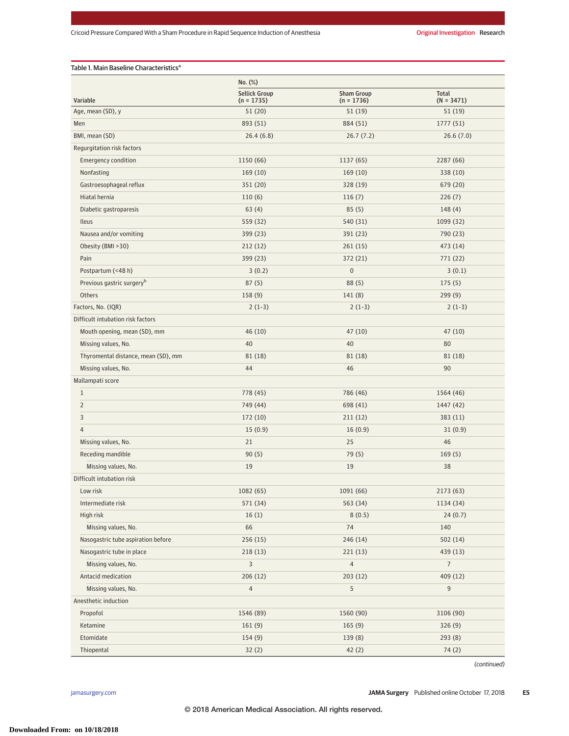|                                       | No. (%)                              |                                   |                       |  |
|---------------------------------------|--------------------------------------|-----------------------------------|-----------------------|--|
| Variable                              | <b>Sellick Group</b><br>$(n = 1735)$ | <b>Sham Group</b><br>$(n = 1736)$ | Total<br>$(N = 3471)$ |  |
| Age, mean (SD), y                     | 51(20)                               | 51(19)                            | 51(19)                |  |
| Men                                   | 893 (51)                             | 884 (51)                          | 1777(51)              |  |
| BMI, mean (SD)                        | 26.4(6.8)                            | 26.7(7.2)                         | 26.6(7.0)             |  |
| Regurgitation risk factors            |                                      |                                   |                       |  |
| <b>Emergency condition</b>            | 1150 (66)                            | 1137(65)                          | 2287 (66)             |  |
| Nonfasting                            | 169(10)                              | 169 (10)                          | 338 (10)              |  |
| Gastroesophageal reflux               | 351 (20)                             | 328 (19)                          | 679 (20)              |  |
| Hiatal hernia                         | 110(6)                               | 116(7)                            | 226(7)                |  |
| Diabetic gastroparesis                | 63(4)                                | 85(5)                             | 148(4)                |  |
| Ileus                                 | 559 (32)                             | 540 (31)                          | 1099 (32)             |  |
| Nausea and/or vomiting                | 399 (23)                             | 391 (23)                          | 790 (23)              |  |
| Obesity (BMI > 30)                    | 212(12)                              | 261(15)                           | 473 (14)              |  |
| Pain                                  | 399 (23)                             | 372 (21)                          | 771(22)               |  |
| Postpartum (<48 h)                    | 3(0.2)                               | $\boldsymbol{0}$                  | 3(0.1)                |  |
| Previous gastric surgery <sup>b</sup> | 87(5)                                | 88(5)                             | 175(5)                |  |
| Others                                | 158(9)                               | 141(8)                            | 299(9)                |  |
| Factors, No. (IQR)                    | $2(1-3)$                             | $2(1-3)$                          | $2(1-3)$              |  |
| Difficult intubation risk factors     |                                      |                                   |                       |  |
| Mouth opening, mean (SD), mm          | 46 (10)                              | 47(10)                            | 47(10)                |  |
| Missing values, No.                   | 40                                   | 40                                | 80                    |  |
| Thyromental distance, mean (SD), mm   | 81 (18)                              | 81 (18)                           | 81 (18)               |  |
| Missing values, No.                   | 44                                   | 46                                | 90                    |  |
| Mallampati score                      |                                      |                                   |                       |  |
| $\mathbf{1}$                          | 778 (45)                             | 786 (46)                          | 1564 (46)             |  |
| 2                                     | 749 (44)                             | 698 (41)                          | 1447 (42)             |  |
| 3                                     | 172(10)                              | 211(12)                           | 383(11)               |  |
| $\overline{4}$                        | 15(0.9)                              | 16(0.9)                           | 31(0.9)               |  |
| Missing values, No.                   | 21                                   | 25                                | 46                    |  |
| Receding mandible                     | 90(5)                                | 79 (5)                            | 169(5)                |  |
| Missing values, No.                   | 19                                   | 19                                | 38                    |  |
| Difficult intubation risk             |                                      |                                   |                       |  |
| Low risk                              | 1082 (65)                            | 1091 (66)                         | 2173 (63)             |  |
| Intermediate risk                     | 571 (34)                             | 563 (34)                          | 1134 (34)             |  |
| High risk                             | 16(1)                                | 8(0.5)                            | 24(0.7)               |  |
| Missing values, No.                   | 66                                   | 74                                | 140                   |  |
| Nasogastric tube aspiration before    | 256(15)                              | 246 (14)                          | 502(14)               |  |
| Nasogastric tube in place             | 218(13)                              | 221(13)                           | 439 (13)              |  |
| Missing values, No.                   | 3                                    | $\overline{4}$                    | $\overline{7}$        |  |
| Antacid medication                    | 206(12)                              | 203(12)                           | 409 (12)              |  |
| Missing values, No.                   | $\overline{4}$                       | 5                                 | 9                     |  |
| Anesthetic induction                  |                                      |                                   |                       |  |
| Propofol                              | 1546 (89)                            | 1560 (90)                         | 3106 (90)             |  |
| Ketamine                              | 161(9)                               | 165(9)                            | 326(9)                |  |
| Etomidate                             | 154(9)                               | 139(8)                            | 293(8)                |  |
| Thiopental                            | 32(2)                                | 42(2)                             | 74(2)                 |  |

(continued)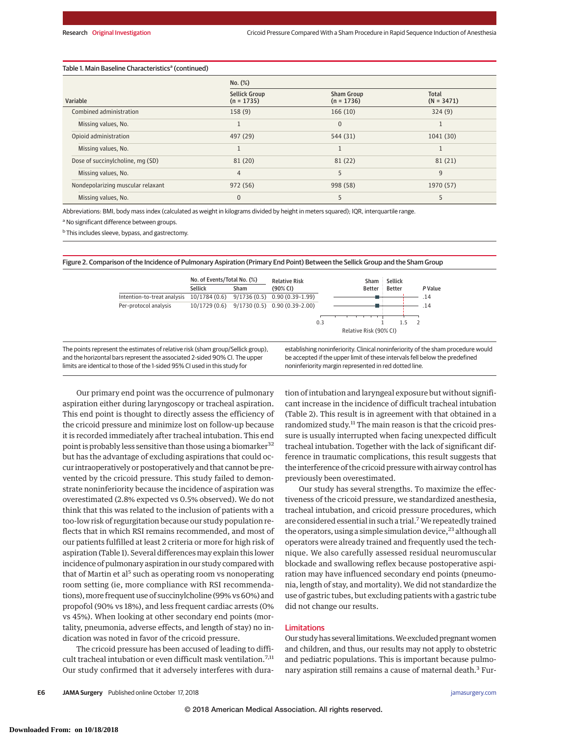## Table 1. Main Baseline Characteristics<sup>a</sup> (continued)

|                                   | No. (%)                              |                                   |                       |  |
|-----------------------------------|--------------------------------------|-----------------------------------|-----------------------|--|
| Variable                          | <b>Sellick Group</b><br>$(n = 1735)$ | <b>Sham Group</b><br>$(n = 1736)$ | Total<br>$(N = 3471)$ |  |
| Combined administration           | 158(9)                               | 166(10)                           | 324(9)                |  |
| Missing values, No.               | J.                                   | 0                                 | л.                    |  |
| Opioid administration             | 497 (29)                             | 544 (31)                          | 1041 (30)             |  |
| Missing values, No.               |                                      |                                   |                       |  |
| Dose of succinylcholine, mg (SD)  | 81 (20)                              | 81(22)                            | 81 (21)               |  |
| Missing values, No.               | $\overline{4}$                       | 5                                 | 9                     |  |
| Nondepolarizing muscular relaxant | 972 (56)                             | 998 (58)                          | 1970 (57)             |  |
| Missing values, No.               | $\overline{0}$                       | 5                                 |                       |  |

Abbreviations: BMI, body mass index (calculated as weight in kilograms divided by height in meters squared); IQR, interquartile range.

<sup>a</sup> No significant difference between groups.

<sup>b</sup> This includes sleeve, bypass, and gastrectomy.

Figure 2. Comparison of the Incidence of Pulmonary Aspiration (Primary End Point) Between the Sellick Group and the Sham Group



Our primary end point was the occurrence of pulmonary aspiration either during laryngoscopy or tracheal aspiration. This end point is thought to directly assess the efficiency of the cricoid pressure and minimize lost on follow-up because it is recorded immediately after tracheal intubation. This end point is probably less sensitive than those using a biomarker<sup>32</sup> but has the advantage of excluding aspirations that could occur intraoperatively or postoperatively and that cannot be prevented by the cricoid pressure. This study failed to demonstrate noninferiority because the incidence of aspiration was overestimated (2.8% expected vs 0.5% observed). We do not think that this was related to the inclusion of patients with a too-low risk of regurgitation because our study population reflects that in which RSI remains recommended, and most of our patients fulfilled at least 2 criteria or more for high risk of aspiration (Table 1). Several differences may explain this lower incidence of pulmonary aspiration in our study compared with that of Martin et al<sup>5</sup> such as operating room vs nonoperating room setting (ie, more compliance with RSI recommendations),more frequent use of succinylcholine (99% vs 60%) and propofol (90% vs 18%), and less frequent cardiac arrests (0% vs 45%). When looking at other secondary end points (mortality, pneumonia, adverse effects, and length of stay) no indication was noted in favor of the cricoid pressure.

The cricoid pressure has been accused of leading to difficult tracheal intubation or even difficult mask ventilation.<sup>7,11</sup> Our study confirmed that it adversely interferes with duration of intubation and laryngeal exposure but without significant increase in the incidence of difficult tracheal intubation (Table 2). This result is in agreement with that obtained in a randomized study.<sup>11</sup> The main reason is that the cricoid pressure is usually interrupted when facing unexpected difficult tracheal intubation. Together with the lack of significant difference in traumatic complications, this result suggests that the interference of the cricoid pressure with airway control has previously been overestimated.

Our study has several strengths. To maximize the effectiveness of the cricoid pressure, we standardized anesthesia, tracheal intubation, and cricoid pressure procedures, which are considered essential in such a trial.<sup>7</sup> We repeatedly trained the operators, using a simple simulation device,<sup>23</sup> although all operators were already trained and frequently used the technique. We also carefully assessed residual neuromuscular blockade and swallowing reflex because postoperative aspiration may have influenced secondary end points (pneumonia, length of stay, and mortality). We did not standardize the use of gastric tubes, but excluding patients with a gastric tube did not change our results.

## Limitations

Our study has several limitations. We excluded pregnant women and children, and thus, our results may not apply to obstetric and pediatric populations. This is important because pulmonary aspiration still remains a cause of maternal death.<sup>3</sup> Fur-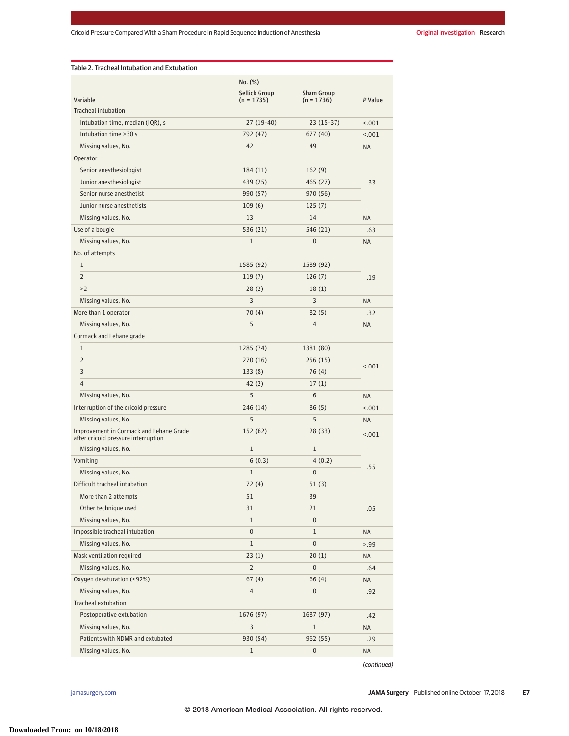|                                                                                | No. (%)                            |                                   |           |
|--------------------------------------------------------------------------------|------------------------------------|-----------------------------------|-----------|
| Variable                                                                       | <b>Sellick Group</b><br>(n = 1735) | <b>Sham Group</b><br>$(n = 1736)$ | P Value   |
| <b>Tracheal intubation</b>                                                     |                                    |                                   |           |
| Intubation time, median (IQR), s                                               | 27 (19-40)                         | $23(15-37)$                       | < .001    |
| Intubation time > 30 s                                                         | 792 (47)                           | 677 (40)                          | < .001    |
| Missing values, No.                                                            | 42                                 | 49                                | <b>NA</b> |
| Operator                                                                       |                                    |                                   |           |
| Senior anesthesiologist                                                        | 184 (11)                           | 162(9)                            | .33       |
| Junior anesthesiologist                                                        | 439 (25)                           | 465 (27)                          |           |
| Senior nurse anesthetist                                                       | 990 (57)                           | 970 (56)                          |           |
| Junior nurse anesthetists                                                      | 109(6)                             | 125(7)                            |           |
| Missing values, No.                                                            | 13                                 | 14                                | <b>NA</b> |
| Use of a bougie                                                                | 536 (21)                           | 546 (21)                          | .63       |
| Missing values, No.                                                            | $\mathbf{1}$                       | 0                                 | <b>NA</b> |
| No. of attempts                                                                |                                    |                                   |           |
| $\mathbf{1}$                                                                   | 1585 (92)                          | 1589 (92)                         |           |
| $\overline{2}$                                                                 | 119(7)                             | 126(7)                            | .19       |
| >2                                                                             | 28(2)                              | 18(1)                             |           |
| Missing values, No.                                                            | 3                                  | 3                                 | <b>NA</b> |
| More than 1 operator                                                           | 70(4)                              | 82(5)                             | .32       |
| Missing values, No.                                                            | 5                                  | 4                                 | <b>NA</b> |
| Cormack and Lehane grade                                                       |                                    |                                   |           |
| $\mathbf{1}$                                                                   | 1285 (74)                          | 1381 (80)                         |           |
| $\overline{2}$                                                                 | 270 (16)                           | 256 (15)                          |           |
| 3                                                                              | 133(8)                             | 76 (4)                            | < .001    |
| 4                                                                              | 42(2)                              | 17(1)                             |           |
| Missing values, No.                                                            | 5                                  | 6                                 | <b>NA</b> |
| Interruption of the cricoid pressure                                           | 246 (14)                           | 86(5)                             | < .001    |
| Missing values, No.                                                            | 5                                  | 5                                 | <b>NA</b> |
| Improvement in Cormack and Lehane Grade<br>after cricoid pressure interruption | 152 (62)                           | 28 (33)                           | < .001    |
| Missing values, No.                                                            | $\mathbf{1}$                       | $\mathbf{1}$                      |           |
| Vomiting                                                                       | 6(0.3)                             | 4(0.2)                            |           |
| Missing values, No.                                                            | $\mathbf{1}$                       | 0                                 | .55       |
| Difficult tracheal intubation                                                  | 72 (4)                             | 51 (3)                            |           |
| More than 2 attempts                                                           | 51                                 | 39                                |           |
| Other technique used                                                           | 31                                 | 21                                | .05       |
| Missing values, No.                                                            | $\mathbf{1}$                       | $\boldsymbol{0}$                  |           |
| Impossible tracheal intubation                                                 | $\pmb{0}$                          | $\mathbf{1}$                      | <b>NA</b> |
| Missing values, No.                                                            | $\mathbf{1}$                       | $\boldsymbol{0}$                  | > 0.99    |
| Mask ventilation required                                                      | 23(1)                              | 20(1)                             | NA        |
| Missing values, No.                                                            | 2                                  | $\boldsymbol{0}$                  | .64       |
| Oxygen desaturation (<92%)                                                     | 67(4)                              | 66(4)                             | NA        |
| Missing values, No.                                                            | 4                                  | $\boldsymbol{0}$                  | .92       |
| Tracheal extubation                                                            |                                    |                                   |           |
| Postoperative extubation                                                       | 1676 (97)                          | 1687 (97)                         | .42       |
| Missing values, No.                                                            | 3                                  | $\mathbf{1}$                      | <b>NA</b> |
| Patients with NDMR and extubated                                               | 930 (54)                           | 962 (55)                          | .29       |
| Missing values, No.                                                            | 1                                  | 0                                 | NA        |

(continued)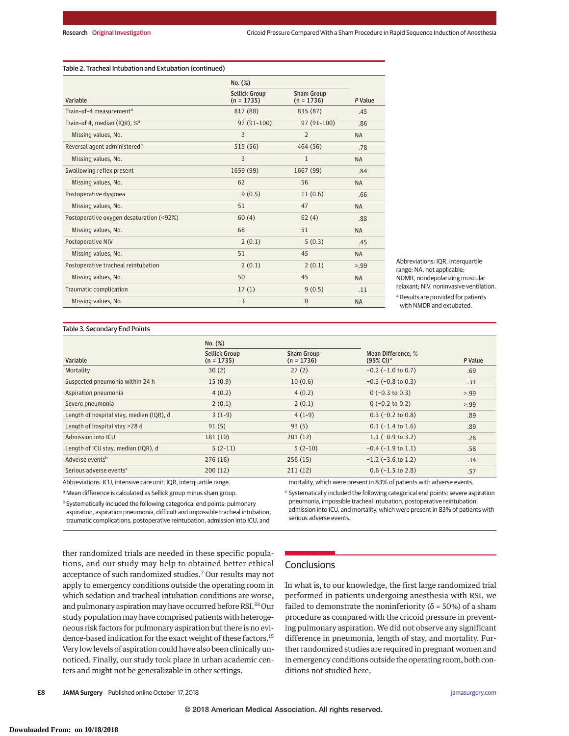## Table 2. Tracheal Intubation and Extubation (continued)

|                                          | No. (%)                              |                                   |           |
|------------------------------------------|--------------------------------------|-----------------------------------|-----------|
| Variable                                 | <b>Sellick Group</b><br>$(n = 1735)$ | <b>Sham Group</b><br>$(n = 1736)$ | P Value   |
| Train-of-4 measurement <sup>a</sup>      | 817 (88)                             | 835 (87)                          | .45       |
| Train-of 4, median (IQR), % <sup>a</sup> | 97 (91-100)                          | 97 (91-100)                       | .86       |
| Missing values, No.                      | 3                                    | 2                                 | <b>NA</b> |
| Reversal agent administered <sup>a</sup> | 515 (56)                             | 464 (56)                          | .78       |
| Missing values, No.                      | 3                                    | $\mathbf{1}$                      | <b>NA</b> |
| Swallowing reflex present                | 1659 (99)                            | 1667 (99)                         | .84       |
| Missing values, No.                      | 62                                   | 56                                | <b>NA</b> |
| Postoperative dyspnea                    | 9(0.5)                               | 11(0.6)                           | .66       |
| Missing values, No.                      | 51                                   | 47                                | <b>NA</b> |
| Postoperative oxygen desaturation (<92%) | 60(4)                                | 62(4)                             | .88       |
| Missing values, No.                      | 68                                   | 51                                | <b>NA</b> |
| <b>Postoperative NIV</b>                 | 2(0.1)                               | 5(0.3)                            | .45       |
| Missing values, No.                      | 51                                   | 45                                | <b>NA</b> |
| Postoperative tracheal reintubation      | 2(0.1)                               | 2(0.1)                            | > 99      |
| Missing values, No.                      | 50                                   | 45                                | <b>NA</b> |
| Traumatic complication                   | 17(1)                                | 9(0.5)                            | .11       |
| Missing values, No.                      | 3                                    | $\Omega$                          | <b>NA</b> |

Abbreviations: IQR, interquartile range; NA, not applicable; NDMR, nondepolarizing muscular relaxant; NIV, noninvasive ventilation. <sup>a</sup> Results are provided for patients

with NMDR and extubated.

### Table 3. Secondary End Points

|                                          | $No.$ $(\%)$                         |                                   |                                                |         |
|------------------------------------------|--------------------------------------|-----------------------------------|------------------------------------------------|---------|
| Variable                                 | <b>Sellick Group</b><br>$(n = 1735)$ | <b>Sham Group</b><br>$(n = 1736)$ | Mean Difference. %<br>$(95\%$ CI) <sup>a</sup> | P Value |
| Mortality                                | 30(2)                                | 27(2)                             | $-0.2$ ( $-1.0$ to 0.7)                        | .69     |
| Suspected pneumonia within 24 h          | 15(0.9)                              | 10(0.6)                           | $-0.3$ ( $-0.8$ to 0.3)                        | .31     |
| Aspiration pneumonia                     | 4(0.2)                               | 4(0.2)                            | $0 (-0.3 to 0.3)$                              | > 0.99  |
| Severe pneumonia                         | 2(0.1)                               | 2(0.1)                            | $0 (-0.2 \text{ to } 0.2)$                     | > 0.99  |
| Length of hospital stay, median (IQR), d | $3(1-9)$                             | $4(1-9)$                          | $0.3$ (-0.2 to 0.8)                            | .89     |
| Length of hospital stay >28 d            | 91(5)                                | 93(5)                             | $0.1$ (-1.4 to 1.6)                            | .89     |
| Admission into ICU                       | 181(10)                              | 201(12)                           | 1.1 $(-0.9 \text{ to } 3.2)$                   | .28     |
| Length of ICU stay, median (IQR), d      | $5(2-11)$                            | $5(2-10)$                         | $-0.4$ ( $-1.9$ to 1.1)                        | .58     |
| Adverse events <sup>b</sup>              | 276(16)                              | 256(15)                           | $-1.2$ ( $-3.6$ to 1.2)                        | .34     |
| Serious adverse events <sup>c</sup>      | 200(12)                              | 211(12)                           | $0.6$ (-1.5 to 2.8)                            | .57     |

Abbreviations: ICU, intensive care unit; IQR, interquartile range.

<sup>a</sup> Mean difference is calculated as Sellick group minus sham group.

**b** Systematically included the following categorical end points: pulmonary aspiration, aspiration pneumonia, difficult and impossible tracheal intubation, traumatic complications, postoperative reintubation, admission into ICU, and

mortality, which were present in 83% of patients with adverse events.

<sup>c</sup> Systematically included the following categorical end points: severe aspiration pneumonia, impossible tracheal intubation, postoperative reintubation, admission into ICU, and mortality, which were present in 83% of patients with serious adverse events.

ther randomized trials are needed in these specific populations, and our study may help to obtained better ethical acceptance of such randomized studies.<sup>7</sup> Our results may not apply to emergency conditions outside the operating room in which sedation and tracheal intubation conditions are worse, and pulmonary aspiration may have occurred before RSI.<sup>33</sup> Our study population may have comprised patients with heterogeneous risk factors for pulmonary aspiration but there is no evidence-based indication for the exact weight of these factors.<sup>15</sup> Very low levels of aspiration could have also been clinically unnoticed. Finally, our study took place in urban academic centers and might not be generalizable in other settings.

# **Conclusions**

In what is, to our knowledge, the first large randomized trial performed in patients undergoing anesthesia with RSI, we failed to demonstrate the noninferiority ( $\delta$  = 50%) of a sham procedure as compared with the cricoid pressure in preventing pulmonary aspiration. We did not observe any significant difference in pneumonia, length of stay, and mortality. Further randomized studies are required in pregnant women and in emergency conditions outside the operating room, both conditions not studied here.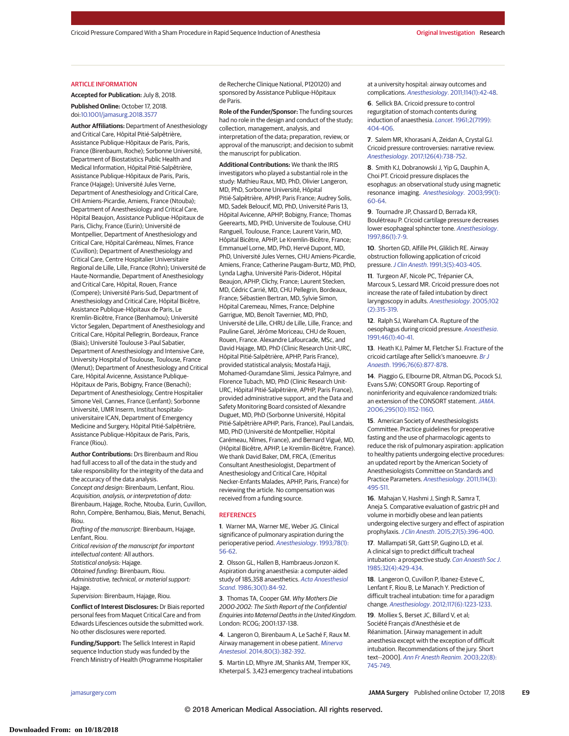#### ARTICLE INFORMATION

**Accepted for Publication:** July 8, 2018.

**Published Online:** October 17, 2018. doi[:10.1001/jamasurg.2018.3577](https://jama.jamanetwork.com/article.aspx?doi=10.1001/jamasurg.2018.3577&utm_campaign=articlePDF%26utm_medium=articlePDFlink%26utm_source=articlePDF%26utm_content=jamasurg.2018.3577)

**Author Affiliations:** Department of Anesthesiology and Critical Care, Hôpital Pitié-Salpêtrière, Assistance Publique-Hôpitaux de Paris, Paris, France (Birenbaum, Roche); Sorbonne Université, Department of Biostatistics Public Health and Medical Information, Hôpital Pitié-Salpêtrière, Assistance Publique-Hôpitaux de Paris, Paris, France (Hajage); Université Jules Verne, Department of Anesthesiology and Critical Care, CHI Amiens-Picardie, Amiens, France (Ntouba); Department of Anesthesiology and Critical Care, Hôpital Beaujon, Assistance Publique-Hôpitaux de Paris, Clichy, France (Eurin); Université de Montpellier, Department of Anesthesiology and Critical Care, Hôpital Carémeau, Nîmes, France (Cuvillon); Department of Anesthesiology and Critical Care, Centre Hospitalier Universitaire Regional de Lille, Lille, France (Rohn); Université de Haute-Normandie, Department of Anesthesiology and Critical Care, Hôpital, Rouen, France (Compere); Université Paris-Sud, Department of Anesthesiology and Critical Care, Hôpital Bicêtre, Assistance Publique-Hôpitaux de Paris, Le Kremlin-Bicêtre, France (Benhamou); Université Victor Segalen, Department of Anesthesiology and Critical Care, Hôpital Pellegrin, Bordeaux, France (Biais); Université Toulouse 3-Paul Sabatier, Department of Anesthesiology and Intensive Care, University Hospital of Toulouse, Toulouse, France (Menut); Department of Anesthesiology and Critical Care, Hôpital Avicenne, Assistance Publique-Hôpitaux de Paris, Bobigny, France (Benachi); Department of Anesthesiology, Centre Hospitalier Simone Veil, Cannes, France (Lenfant); Sorbonne Université, UMR Inserm, Institut hospitalouniversitaire ICAN, Department of Emergency Medicine and Surgery, Hôpital Pitié-Salpêtrière, Assistance Publique-Hôpitaux de Paris, Paris, France (Riou).

**Author Contributions:** Drs Birenbaum and Riou had full access to all of the data in the study and take responsibility for the integrity of the data and the accuracy of the data analysis.

Concept and design: Birenbaum, Lenfant, Riou. Acquisition, analysis, or interpretation of data: Birenbaum, Hajage, Roche, Ntouba, Eurin, Cuvillon, Rohn, Compère, Benhamou, Biais, Menut, Benachi, Riou.

Drafting of the manuscript: Birenbaum, Hajage, Lenfant, Riou.

Critical revision of the manuscript for important intellectual content: All authors.

Statistical analysis: Hajage.

Obtained funding: Birenbaum, Riou. Administrative, technical, or material support: Hajage.

Supervision: Birenbaum, Hajage, Riou.

**Conflict of Interest Disclosures:** Dr Biais reported personal fees from Maquet Critical Care and from Edwards Lifesciences outside the submitted work. No other disclosures were reported.

**Funding/Support:** The Sellick Interest in Rapid sequence Induction study was funded by the French Ministry of Health (Programme Hospitalier de Recherche Clinique National, P120120) and sponsored by Assistance Publique-Hôpitaux de Paris.

**Role of the Funder/Sponsor:** The funding sources had no role in the design and conduct of the study; collection, management, analysis, and interpretation of the data; preparation, review, or approval of the manuscript; and decision to submit the manuscript for publication.

**Additional Contributions:** We thank the IRIS investigators who played a substantial role in the study: Mathieu Raux, MD, PhD, Olivier Langeron, MD, PhD, Sorbonne Université, Hôpital Pitié-Salpêtrière, APHP, Paris France; Audrey Solis, MD, Sadek Beloucif, MD, PhD, Université Paris 13, Hôpital Avicenne, APHP, Bobigny, France; Thomas Geerearts, MD, PHD, Universite de Toulouse, CHU Rangueil, Toulouse, France; Laurent Varin, MD, Hôpital Bicêtre, APHP, Le Kremlin-Bicêtre, France; Emmanuel Lorne, MD, PhD, Hervé Dupont, MD, PhD, Université Jules Vernes, CHU Amiens-Picardie, Amiens, France; Catherine Paugam-Burtz, MD, PhD, Lynda Lagha, Université Paris-Diderot, Hôpital Beaujon, APHP, Clichy, France; Laurent Stecken, MD, Cédric Carrié, MD, CHU Pellegrin, Bordeaux, France; Sébastien Bertran, MD, Sylvie Simon, Hôpital Caremeau, Nîmes, France; Delphine Garrigue, MD, Benoît Tavernier, MD, PhD, Université de Lille, CHRU de Lille, Lille, France; and Pauline Garel, Jérôme Moriceau, CHU de Rouen, Rouen, France. Alexandre Lafourcade, MSc, and David Hajage, MD, PhD (Clinic Research Unit-URC, Hôpital Pitié-Salpêtrière, APHP, Paris France), provided statistical analysis; Mostafa Hajji, Mohamed-Ouramdane Slimi, Jessica Palmyre, and Florence Tubach, MD, PhD (Clinic Research Unit-URC, Hôpital Pitié-Salpêtrière, APHP, Paris France), provided administrative support, and the Data and Safety Monitoring Board consisted of Alexandre Duguet, MD, PhD (Sorbonne Université, Hôpital Pitié-Salpêtrière APHP, Paris, France), Paul Landais, MD, PhD (Université de Montpellier, Hôpital Carémeau, Nîmes, France), and Bernard Vigué, MD, (Hôpital Bicêtre, APHP, Le Kremlin-Bicêtre, France). We thank David Baker, DM, FRCA, (Emeritus Consultant Anesthesiologist, Department of Anesthesiology and Critical Care, Hôpital Necker-Enfants Malades, APHP, Paris, France) for reviewing the article. No compensation was received from a funding source.

#### REFERENCES

**1**. Warner MA, Warner ME, Weber JG. Clinical significance of pulmonary aspiration during the perioperative period. [Anesthesiology](https://www.ncbi.nlm.nih.gov/pubmed/8424572). 1993;78(1): [56-62.](https://www.ncbi.nlm.nih.gov/pubmed/8424572)

**2**. Olsson GL, Hallen B, Hambraeus-Jonzon K. Aspiration during anaesthesia: a computer-aided study of 185,358 anaesthetics. [Acta Anaesthesiol](https://www.ncbi.nlm.nih.gov/pubmed/3754372) Scand[. 1986;30\(1\):84-92.](https://www.ncbi.nlm.nih.gov/pubmed/3754372)

**3**. Thomas TA, Cooper GM. Why Mothers Die 2000-2002: The Sixth Report of the Confidential Enquiries into Maternal Deaths in the United Kingdom. London: RCOG; 2001:137-138.

**4**. Langeron O, Birenbaum A, Le Saché F, Raux M. Airway management in obese patient. [Minerva](https://www.ncbi.nlm.nih.gov/pubmed/24122033) Anestesiol[. 2014;80\(3\):382-392.](https://www.ncbi.nlm.nih.gov/pubmed/24122033)

**5**. Martin LD, Mhyre JM, Shanks AM, Tremper KK, Kheterpal S. 3,423 emergency tracheal intubations

at a university hospital: airway outcomes and complications. Anesthesiology[. 2011;114\(1\):42-48.](https://www.ncbi.nlm.nih.gov/pubmed/21150574)

**6**. Sellick BA. Cricoid pressure to control regurgitation of stomach contents during induction of anaesthesia. Lancet[. 1961;2\(7199\):](https://www.ncbi.nlm.nih.gov/pubmed/13749923) [404-406.](https://www.ncbi.nlm.nih.gov/pubmed/13749923)

**7**. Salem MR, Khorasani A, Zeidan A, Crystal GJ. Cricoid pressure controversies: narrative review. Anesthesiology[. 2017;126\(4\):738-752.](https://www.ncbi.nlm.nih.gov/pubmed/28045709)

**8**. Smith KJ, Dobranowski J, Yip G, Dauphin A, Choi PT. Cricoid pressure displaces the esophagus: an observational study using magnetic resonance imaging. [Anesthesiology](https://www.ncbi.nlm.nih.gov/pubmed/12826843). 2003;99(1): [60-64.](https://www.ncbi.nlm.nih.gov/pubmed/12826843)

**9**. Tournadre JP, Chassard D, Berrada KR, Boulétreau P. Cricoid cartilage pressure decreases lower esophageal sphincter tone. [Anesthesiology](https://www.ncbi.nlm.nih.gov/pubmed/9009934). [1997;86\(1\):7-9.](https://www.ncbi.nlm.nih.gov/pubmed/9009934)

**10**. Shorten GD, Alfille PH, Gliklich RE. Airway obstruction following application of cricoid pressure.J Clin Anesth[. 1991;3\(5\):403-405.](https://www.ncbi.nlm.nih.gov/pubmed/1931067)

**11**. Turgeon AF, Nicole PC, Trépanier CA, Marcoux S, Lessard MR. Cricoid pressure does not increase the rate of failed intubation by direct laryngoscopy in adults. [Anesthesiology](https://www.ncbi.nlm.nih.gov/pubmed/15681945). 2005;102 [\(2\):315-319.](https://www.ncbi.nlm.nih.gov/pubmed/15681945)

**12**. Ralph SJ, Wareham CA. Rupture of the oesophagus during cricoid pressure. [Anaesthesia](https://www.ncbi.nlm.nih.gov/pubmed/1996754). [1991;46\(1\):40-41.](https://www.ncbi.nlm.nih.gov/pubmed/1996754)

**13**. Heath KJ, Palmer M, Fletcher SJ. Fracture of the cricoid cartilage after Sellick's manoeuvre. [Br J](https://www.ncbi.nlm.nih.gov/pubmed/8679368) Anaesth[. 1996;76\(6\):877-878.](https://www.ncbi.nlm.nih.gov/pubmed/8679368)

**14**. Piaggio G, Elbourne DR, Altman DG, Pocock SJ, Evans SJW; CONSORT Group. Reporting of noninferiority and equivalence randomized trials: an extension of the CONSORT statement. [JAMA](https://www.ncbi.nlm.nih.gov/pubmed/16522836). [2006;295\(10\):1152-1160.](https://www.ncbi.nlm.nih.gov/pubmed/16522836)

**15**. American Society of Anesthesiologists Committee. Practice guidelines for preoperative fasting and the use of pharmacologic agents to reduce the risk of pulmonary aspiration: application to healthy patients undergoing elective procedures: an updated report by the American Society of Anesthesiologists Committee on Standards and Practice Parameters. [Anesthesiology](https://www.ncbi.nlm.nih.gov/pubmed/21307770). 2011;114(3): [495-511.](https://www.ncbi.nlm.nih.gov/pubmed/21307770)

**16**. Mahajan V, Hashmi J, Singh R, Samra T, Aneja S. Comparative evaluation of gastric pH and volume in morbidly obese and lean patients undergoing elective surgery and effect of aspiration prophylaxis.J Clin Anesth[. 2015;27\(5\):396-400.](https://www.ncbi.nlm.nih.gov/pubmed/25935831)

**17**. Mallampati SR, Gatt SP, Gugino LD, et al. A clinical sign to predict difficult tracheal intubation: a prospective study. [Can Anaesth Soc J](https://www.ncbi.nlm.nih.gov/pubmed/4027773). [1985;32\(4\):429-434.](https://www.ncbi.nlm.nih.gov/pubmed/4027773)

**18**. Langeron O, Cuvillon P, Ibanez-Esteve C, Lenfant F, Riou B, Le Manach Y. Prediction of difficult tracheal intubation: time for a paradigm change. Anesthesiology[. 2012;117\(6\):1223-1233.](https://www.ncbi.nlm.nih.gov/pubmed/23135259)

**19**. Molliex S, Berset JC, Billard V, et al; Société Français d'Anesthésie et de Réanimation. [Airway management in adult anesthesia except with the exception of difficult intubation. Recommendations of the jury. Short text--2000]. [Ann Fr Anesth Reanim](https://www.ncbi.nlm.nih.gov/pubmed/14584485). 2003;22(8): [745-749.](https://www.ncbi.nlm.nih.gov/pubmed/14584485)